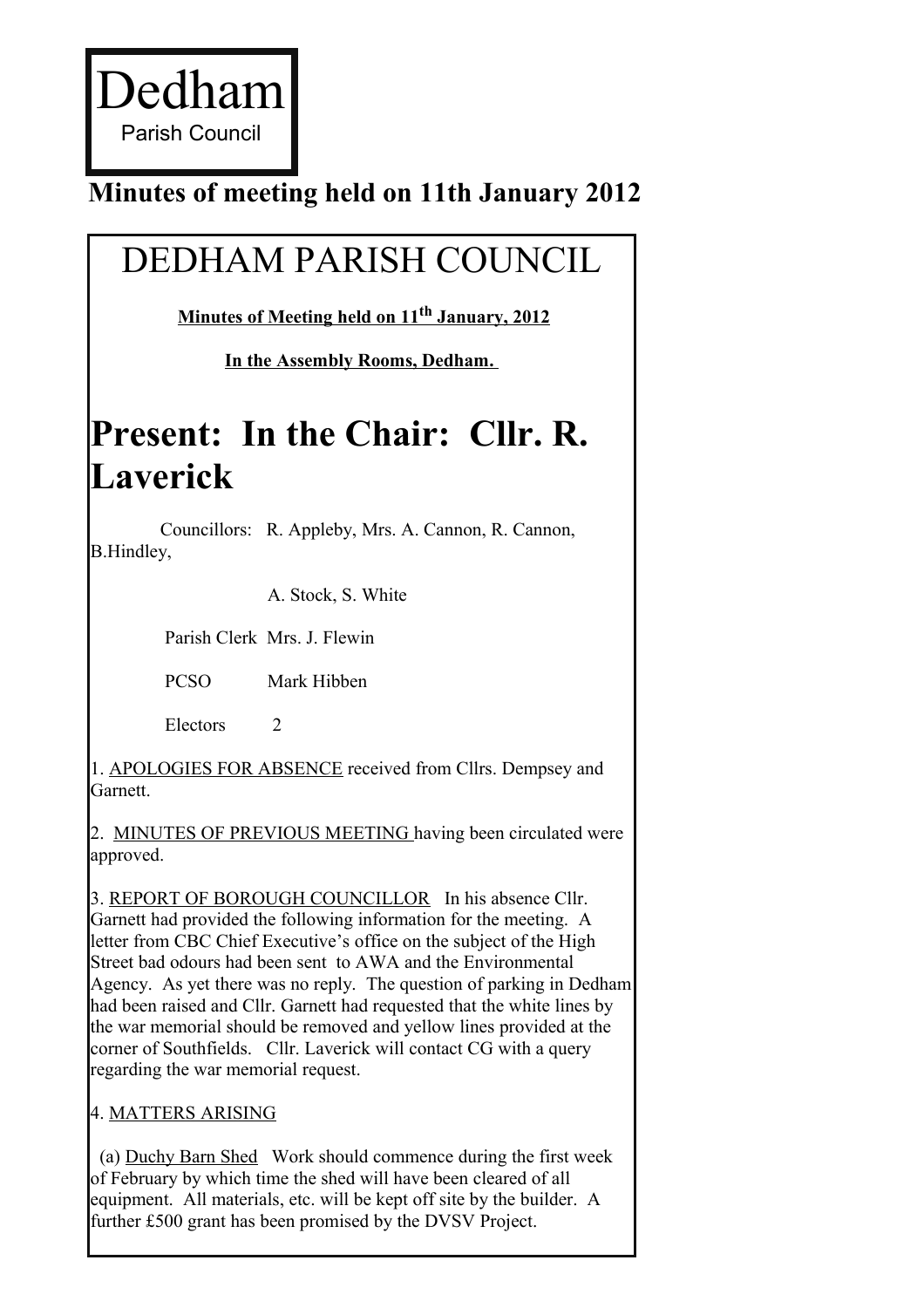### **Minutes of meeting held on 11th January 2012**

# DEDHAM PARISH COUNCIL

 **Minutes of Meeting held on 11th January, 2012**

**In the Assembly Rooms, Dedham.** 

## **Present: In the Chair: Cllr. R. Laverick**

Councillors: R. Appleby, Mrs. A. Cannon, R. Cannon, B.Hindley,

A. Stock, S. White

Parish Clerk Mrs. J. Flewin

PCSO Mark Hibben

Electors 2

1. APOLOGIES FOR ABSENCE received from Cllrs. Dempsey and **Garnett** 

2. MINUTES OF PREVIOUS MEETING having been circulated were approved.

3. REPORT OF BOROUGH COUNCILLOR In his absence Cllr. Garnett had provided the following information for the meeting. A letter from CBC Chief Executive's office on the subject of the High Street bad odours had been sent to AWA and the Environmental Agency. As yet there was no reply. The question of parking in Dedham had been raised and Cllr. Garnett had requested that the white lines by the war memorial should be removed and yellow lines provided at the corner of Southfields. Cllr. Laverick will contact CG with a query regarding the war memorial request.

4. MATTERS ARISING

(a) Duchy Barn Shed Work should commence during the first week of February by which time the shed will have been cleared of all equipment. All materials, etc. will be kept off site by the builder. A further £500 grant has been promised by the DVSV Project.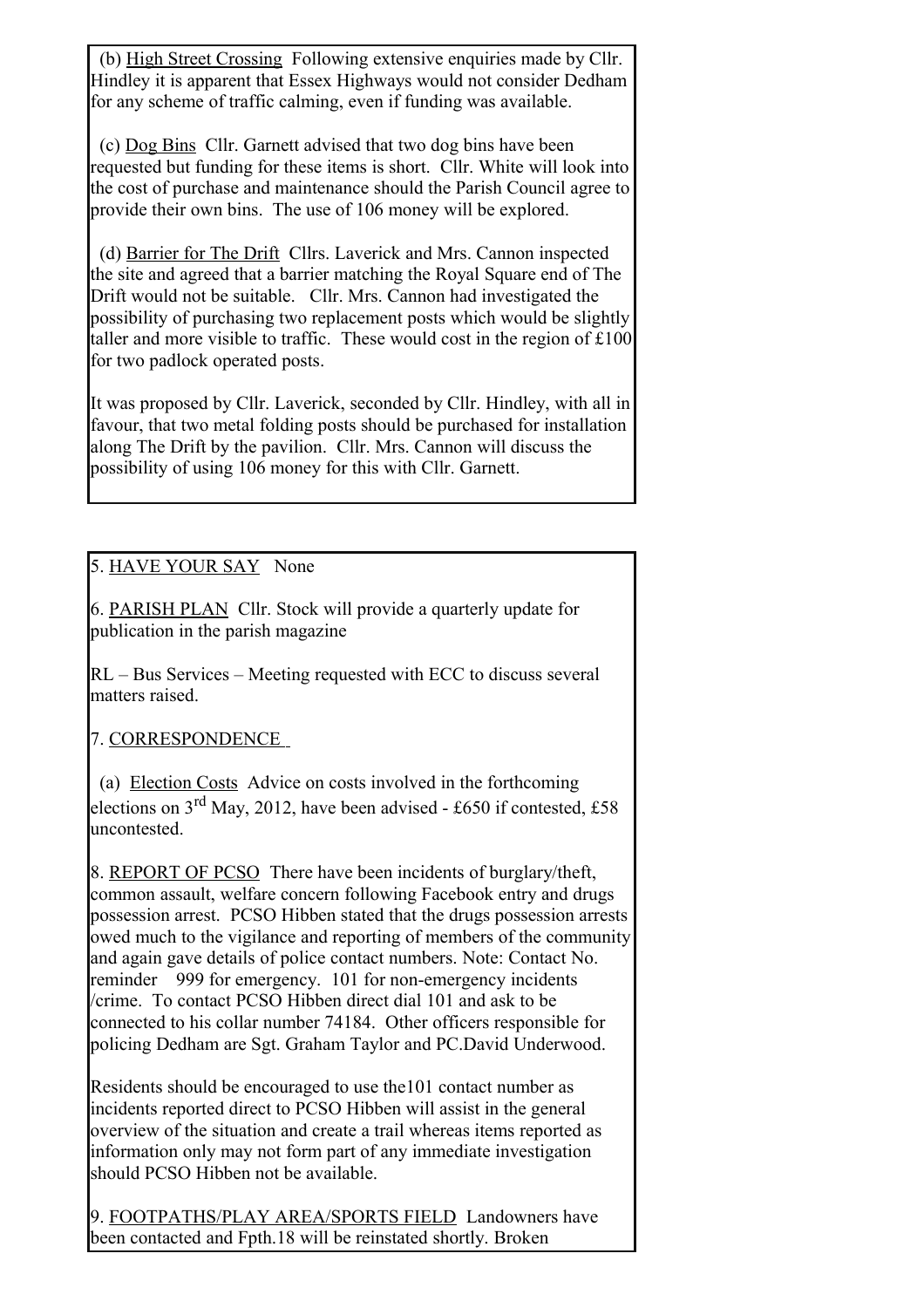(b) High Street Crossing Following extensive enquiries made by Cllr. Hindley it is apparent that Essex Highways would not consider Dedham for any scheme of traffic calming, even if funding was available.

(c) Dog Bins Cllr. Garnett advised that two dog bins have been requested but funding for these items is short. Cllr. White will look into the cost of purchase and maintenance should the Parish Council agree to provide their own bins. The use of 106 money will be explored.

(d) Barrier for The Drift Cllrs. Laverick and Mrs. Cannon inspected the site and agreed that a barrier matching the Royal Square end of The Drift would not be suitable. Cllr. Mrs. Cannon had investigated the possibility of purchasing two replacement posts which would be slightly taller and more visible to traffic. These would cost in the region of £100 for two padlock operated posts.

It was proposed by Cllr. Laverick, seconded by Cllr. Hindley, with all in favour, that two metal folding posts should be purchased for installation along The Drift by the pavilion. Cllr. Mrs. Cannon will discuss the possibility of using 106 money for this with Cllr. Garnett.

### 5. HAVE YOUR SAY None

6. PARISH PLAN Cllr. Stock will provide a quarterly update for publication in the parish magazine

RL – Bus Services – Meeting requested with ECC to discuss several matters raised.

### 7. CORRESPONDENCE

(a) Election Costs Advice on costs involved in the forthcoming elections on  $3^{rd}$  May, 2012, have been advised - £650 if contested, £58 uncontested.

8. REPORT OF PCSO There have been incidents of burglary/theft, common assault, welfare concern following Facebook entry and drugs possession arrest. PCSO Hibben stated that the drugs possession arrests owed much to the vigilance and reporting of members of the community and again gave details of police contact numbers. Note: Contact No. reminder 999 for emergency. 101 for non-emergency incidents /crime. To contact PCSO Hibben direct dial 101 and ask to be connected to his collar number 74184. Other officers responsible for policing Dedham are Sgt. Graham Taylor and PC.David Underwood.

Residents should be encouraged to use the101 contact number as incidents reported direct to PCSO Hibben will assist in the general overview of the situation and create a trail whereas items reported as information only may not form part of any immediate investigation should PCSO Hibben not be available.

9. FOOTPATHS/PLAY AREA/SPORTS FIELD Landowners have been contacted and Fpth.18 will be reinstated shortly. Broken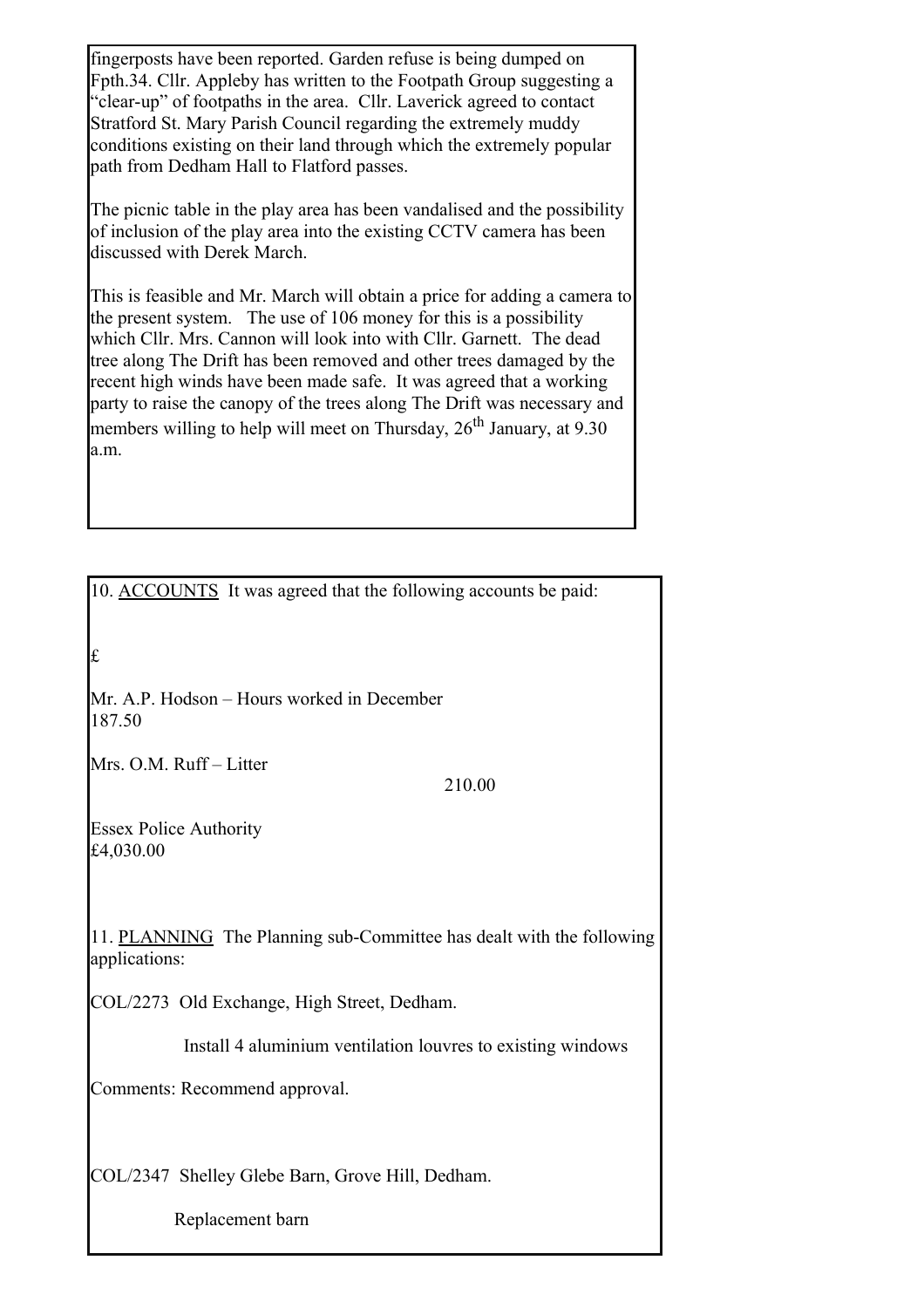fingerposts have been reported. Garden refuse is being dumped on Fpth.34. Cllr. Appleby has written to the Footpath Group suggesting a "clear-up" of footpaths in the area. Cllr. Laverick agreed to contact Stratford St. Mary Parish Council regarding the extremely muddy conditions existing on their land through which the extremely popular path from Dedham Hall to Flatford passes.

The picnic table in the play area has been vandalised and the possibility of inclusion of the play area into the existing CCTV camera has been discussed with Derek March.

This is feasible and Mr. March will obtain a price for adding a camera to the present system. The use of 106 money for this is a possibility which Cllr. Mrs. Cannon will look into with Cllr. Garnett. The dead tree along The Drift has been removed and other trees damaged by the recent high winds have been made safe. It was agreed that a working party to raise the canopy of the trees along The Drift was necessary and members willing to help will meet on Thursday,  $26<sup>th</sup>$  January, at 9.30 a.m.

10. ACCOUNTS It was agreed that the following accounts be paid:

£

Mr. A.P. Hodson – Hours worked in December 187.50

Mrs. O.M. Ruff – Litter

210.00

Essex Police Authority £4,030.00

11. PLANNING The Planning sub-Committee has dealt with the following applications:

COL/2273 Old Exchange, High Street, Dedham.

Install 4 aluminium ventilation louvres to existing windows

Comments: Recommend approval.

COL/2347 Shelley Glebe Barn, Grove Hill, Dedham.

Replacement barn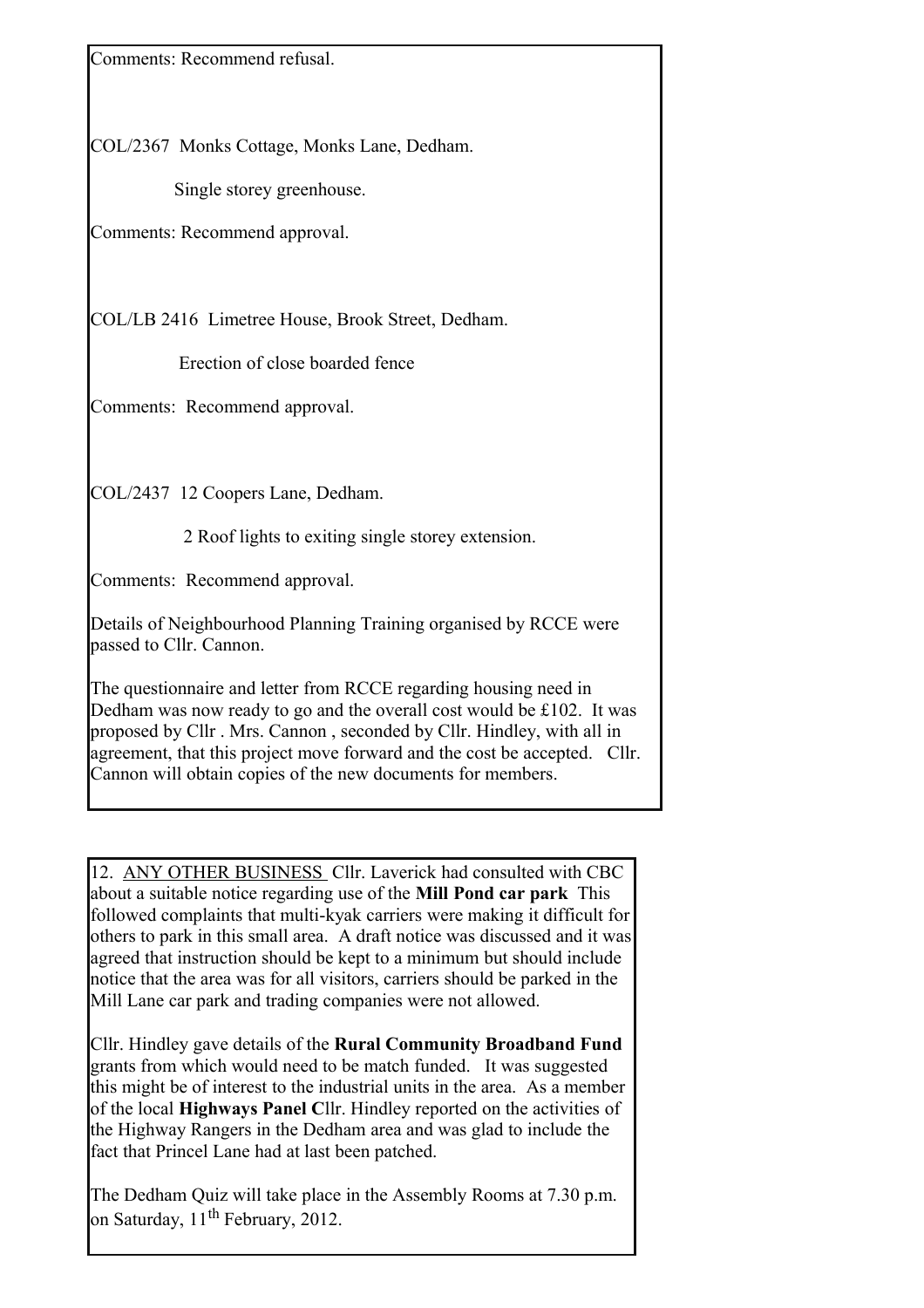Comments: Recommend refusal.

COL/2367 Monks Cottage, Monks Lane, Dedham.

Single storey greenhouse.

Comments: Recommend approval.

COL/LB 2416 Limetree House, Brook Street, Dedham.

Erection of close boarded fence

Comments: Recommend approval.

COL/2437 12 Coopers Lane, Dedham.

2 Roof lights to exiting single storey extension.

Comments: Recommend approval.

Details of Neighbourhood Planning Training organised by RCCE were passed to Cllr. Cannon.

The questionnaire and letter from RCCE regarding housing need in Dedham was now ready to go and the overall cost would be £102. It was proposed by Cllr . Mrs. Cannon , seconded by Cllr. Hindley, with all in agreement, that this project move forward and the cost be accepted. Cllr. Cannon will obtain copies of the new documents for members.

12. ANY OTHER BUSINESS Cllr. Laverick had consulted with CBC about a suitable notice regarding use of the **Mill Pond car park** This followed complaints that multi-kyak carriers were making it difficult for others to park in this small area. A draft notice was discussed and it was agreed that instruction should be kept to a minimum but should include notice that the area was for all visitors, carriers should be parked in the Mill Lane car park and trading companies were not allowed.

Cllr. Hindley gave details of the **Rural Community Broadband Fund** grants from which would need to be match funded. It was suggested this might be of interest to the industrial units in the area. As a member of the local **Highways Panel C**llr. Hindley reported on the activities of the Highway Rangers in the Dedham area and was glad to include the fact that Princel Lane had at last been patched.

The Dedham Quiz will take place in the Assembly Rooms at 7.30 p.m. on Saturday,  $11^{\text{th}}$  February, 2012.